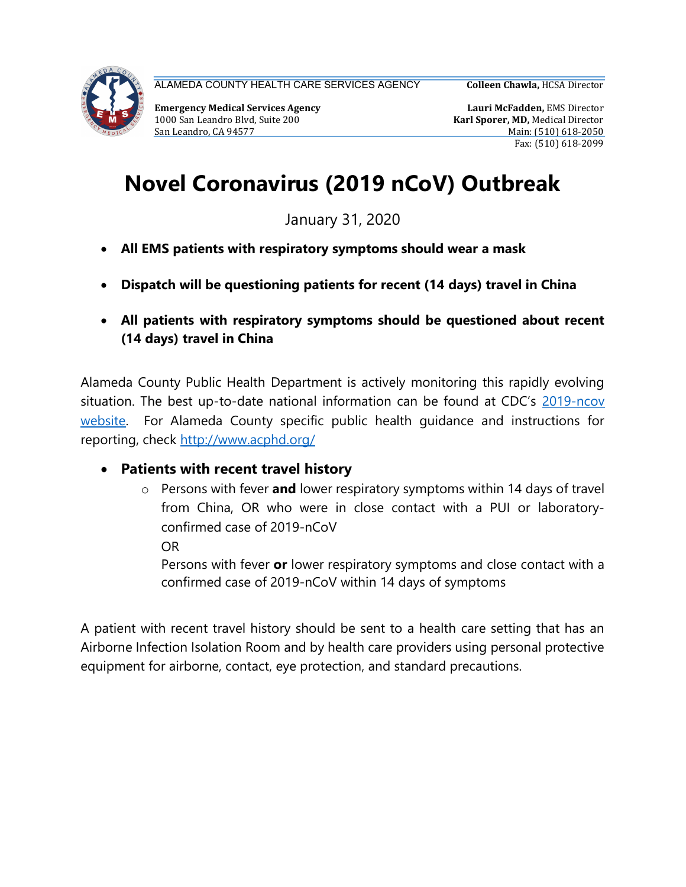

ALAMEDA COUNTY HEALTH CARE SERVICES AGENCY

Colleen Chawla, HCSA Director

Emergency Medical Services Agency 1000 San Leandro Blvd, Suite 200 San Leandro, CA 94577

Lauri McFadden, EMS Director Karl Sporer, MD, Medical Director Main: (510) 618-2050 Fax: (510) 618-2099

# Novel Coronavirus (2019 nCoV) Outbreak

January 31, 2020

- All EMS patients with respiratory symptoms should wear a mask
- Dispatch will be questioning patients for recent (14 days) travel in China
- All patients with respiratory symptoms should be questioned about recent (14 days) travel in China

Alameda County Public Health Department is actively monitoring this rapidly evolving situation. The best up-to-date national information can be found at CDC's 2019-ncov website. For Alameda County specific public health quidance and instructions for reporting, check http://www.acphd.org/

## • Patients with recent travel history

 $\circ$  Persons with fever and lower respiratory symptoms within 14 days of travel from China, OR who were in close contact with a PUI or laboratoryconfirmed case of 2019-nCoV

OR

Persons with fever **or** lower respiratory symptoms and close contact with a confirmed case of 2019-nCoV within 14 days of symptoms

A patient with recent travel history should be sent to a health care setting that has an Airborne Infection Isolation Room and by health care providers using personal protective equipment for airborne, contact, eye protection, and standard precautions.